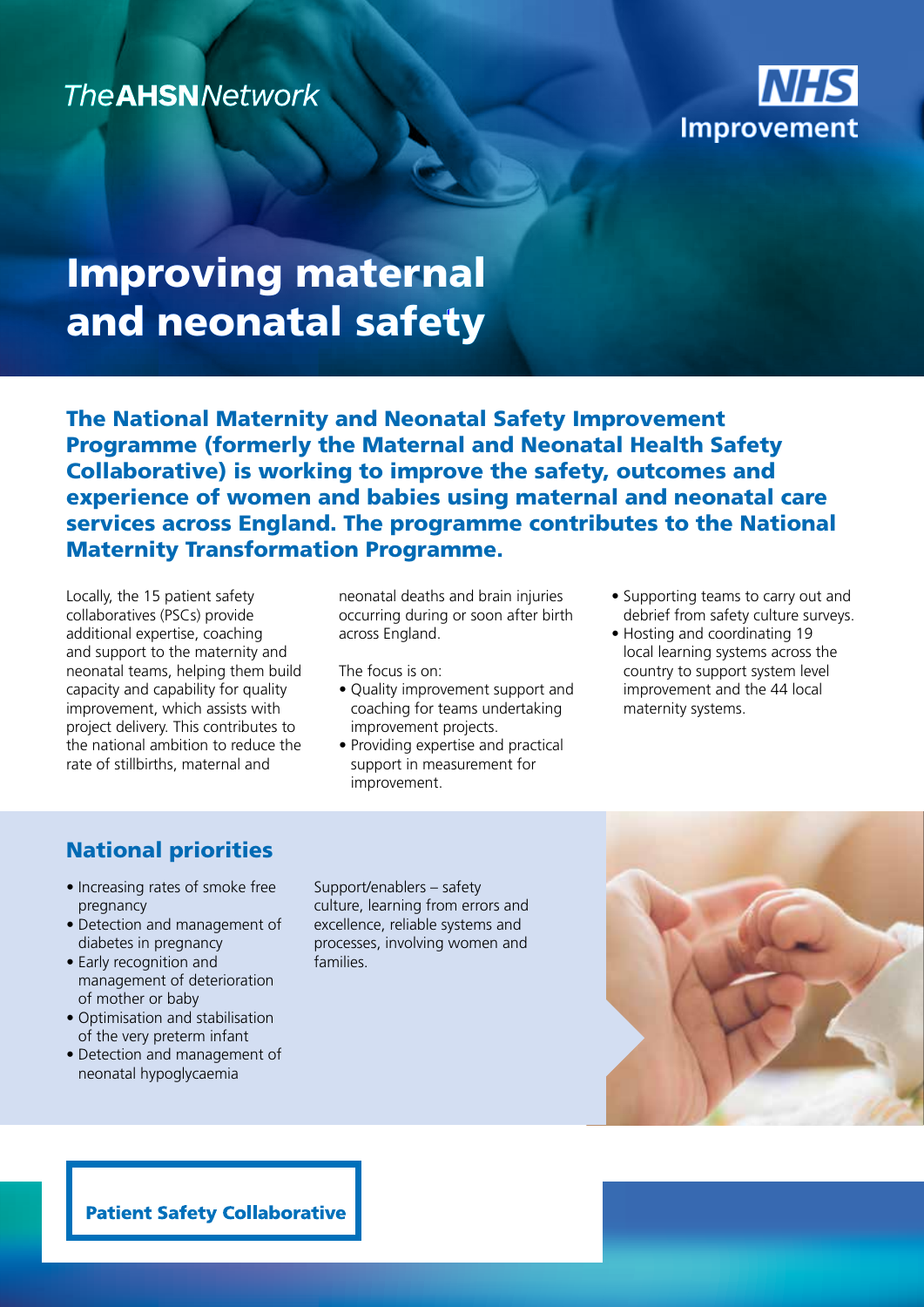## **The AHSNNetwork**



# Improving maternal and neonatal safety

The National Maternity and Neonatal Safety Improvement Programme (formerly the Maternal and Neonatal Health Safety Collaborative) is working to improve the safety, outcomes and experience of women and babies using maternal and neonatal care services across England. The programme contributes to the National Maternity Transformation Programme.

Locally, the 15 patient safety collaboratives (PSCs) provide additional expertise, coaching and support to the maternity and neonatal teams, helping them build capacity and capability for quality improvement, which assists with project delivery. This contributes to the national ambition to reduce the rate of stillbirths, maternal and

neonatal deaths and brain injuries occurring during or soon after birth across England.

The focus is on:

- Quality improvement support and coaching for teams undertaking improvement projects.
- Providing expertise and practical support in measurement for improvement.
- Supporting teams to carry out and debrief from safety culture surveys.
- Hosting and coordinating 19 local learning systems across the country to support system level improvement and the 44 local maternity systems.

### National priorities

- Increasing rates of smoke free pregnancy
- Detection and management of diabetes in pregnancy
- Early recognition and management of deterioration of mother or baby
- Optimisation and stabilisation of the very preterm infant
- Detection and management of neonatal hypoglycaemia

Support/enablers – safety culture, learning from errors and excellence, reliable systems and processes, involving women and families.



**Patient Safety Collaborative**